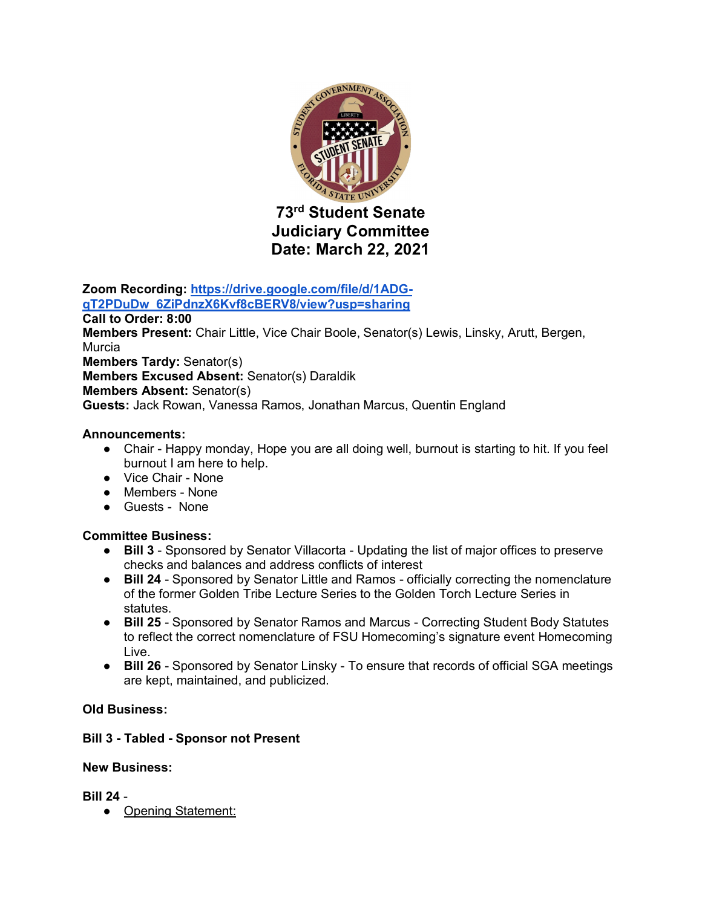

**Judiciary Committee Date: March 22, 2021**

**Zoom Recording: https://drive.google.com/file/d/1ADGqT2PDuDw\_6ZiPdnzX6Kvf8cBERV8/view?usp=sharing**

**Call to Order: 8:00 Members Present:** Chair Little, Vice Chair Boole, Senator(s) Lewis, Linsky, Arutt, Bergen, Murcia **Members Tardy:** Senator(s) **Members Excused Absent:** Senator(s) Daraldik **Members Absent:** Senator(s) **Guests:** Jack Rowan, Vanessa Ramos, Jonathan Marcus, Quentin England

## **Announcements:**

- Chair Happy monday, Hope you are all doing well, burnout is starting to hit. If you feel burnout I am here to help.
- Vice Chair None
- Members None
- Guests None

# **Committee Business:**

- **Bill 3** Sponsored by Senator Villacorta Updating the list of major offices to preserve checks and balances and address conflicts of interest
- **Bill 24**  Sponsored by Senator Little and Ramos officially correcting the nomenclature of the former Golden Tribe Lecture Series to the Golden Torch Lecture Series in statutes.
- **Bill 25**  Sponsored by Senator Ramos and Marcus Correcting Student Body Statutes to reflect the correct nomenclature of FSU Homecoming's signature event Homecoming Live.
- **Bill 26** Sponsored by Senator Linsky To ensure that records of official SGA meetings are kept, maintained, and publicized.

# **Old Business:**

#### **Bill 3 - Tabled - Sponsor not Present**

#### **New Business:**

**Bill 24** -

• Opening Statement: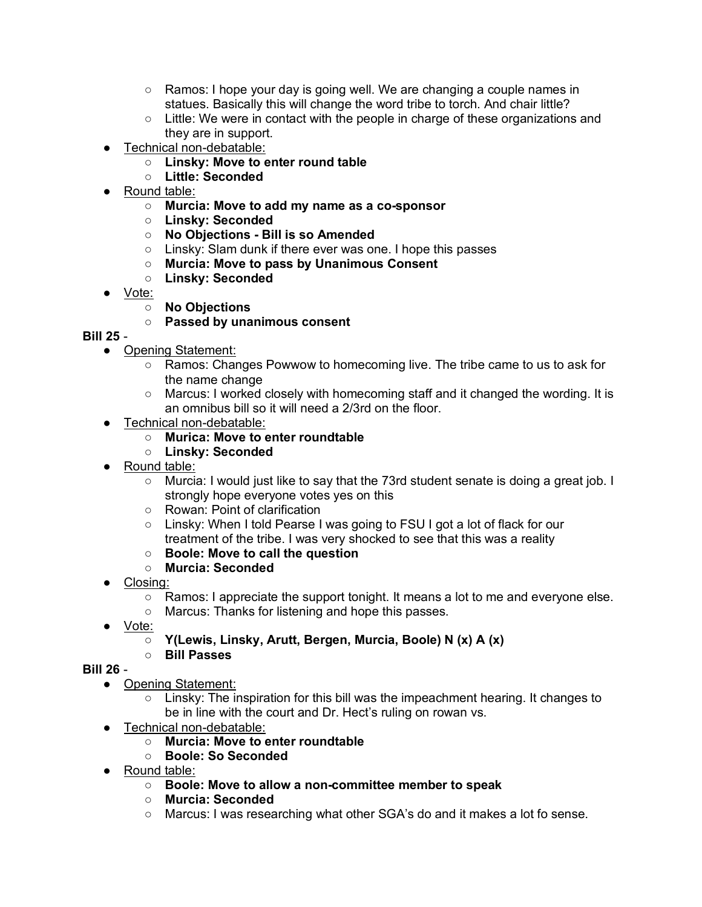- Ramos: I hope your day is going well. We are changing a couple names in statues. Basically this will change the word tribe to torch. And chair little?
- $\circ$  Little: We were in contact with the people in charge of these organizations and they are in support.
- Technical non-debatable:
	- **Linsky: Move to enter round table**
	- **Little: Seconded**
- Round table:
	- **Murcia: Move to add my name as a co-sponsor**
	- **Linsky: Seconded**
	- **No Objections - Bill is so Amended**
	- Linsky: Slam dunk if there ever was one. I hope this passes
	- **Murcia: Move to pass by Unanimous Consent**
	- **Linsky: Seconded**
- <u>Vote:</u>
	- **No Objections**

## ○ **Passed by unanimous consent**

## **Bill 25** -

- Opening Statement:
	- Ramos: Changes Powwow to homecoming live. The tribe came to us to ask for the name change
	- Marcus: I worked closely with homecoming staff and it changed the wording. It is an omnibus bill so it will need a 2/3rd on the floor.
- Technical non-debatable:
	- **Murica: Move to enter roundtable**
	- **Linsky: Seconded**
- Round table:
	- Murcia: I would just like to say that the 73rd student senate is doing a great job. I strongly hope everyone votes yes on this
	- Rowan: Point of clarification
	- Linsky: When I told Pearse I was going to FSU I got a lot of flack for our treatment of the tribe. I was very shocked to see that this was a reality
	- **Boole: Move to call the question**
	- **Murcia: Seconded**
- Closing:
	- Ramos: I appreciate the support tonight. It means a lot to me and everyone else.
	- Marcus: Thanks for listening and hope this passes.
- Vote:
	- **Y(Lewis, Linsky, Arutt, Bergen, Murcia, Boole) N (x) A (x)**
	- **Bill Passes**

#### **Bill 26** -

- Opening Statement:
	- Linsky: The inspiration for this bill was the impeachment hearing. It changes to be in line with the court and Dr. Hect's ruling on rowan vs.
- Technical non-debatable:
	- **Murcia: Move to enter roundtable**
	- **Boole: So Seconded**
- Round table:
	- **Boole: Move to allow a non-committee member to speak**
	- **Murcia: Seconded**
	- Marcus: I was researching what other SGA's do and it makes a lot fo sense.